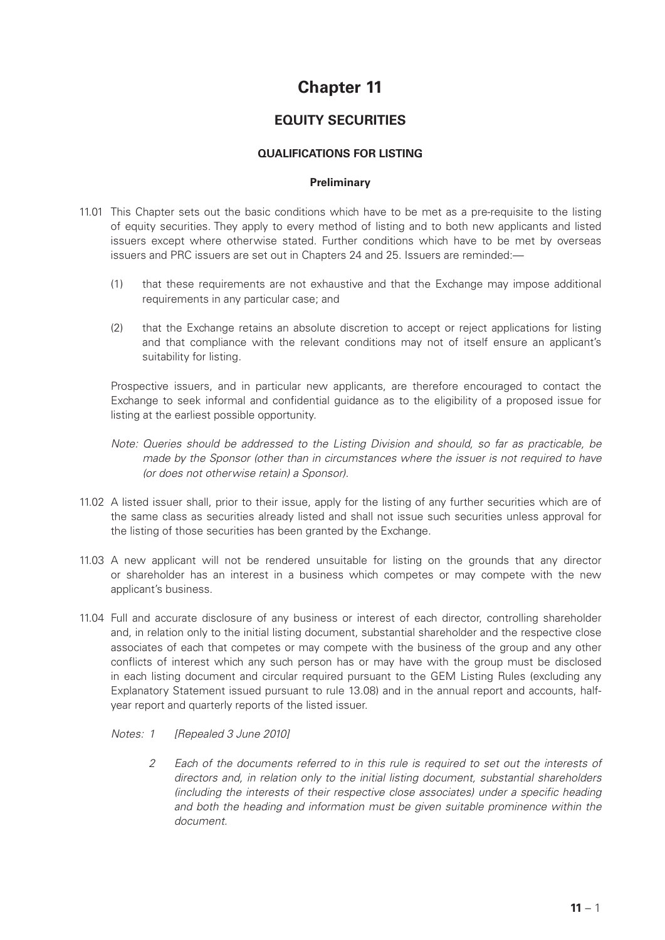# **Chapter 11**

# **EQUITY SECURITIES**

## **QUALIFICATIONS FOR LISTING**

#### **Preliminary**

- 11.01 This Chapter sets out the basic conditions which have to be met as a pre-requisite to the listing of equity securities. They apply to every method of listing and to both new applicants and listed issuers except where otherwise stated. Further conditions which have to be met by overseas issuers and PRC issuers are set out in Chapters 24 and 25. Issuers are reminded:—
	- (1) that these requirements are not exhaustive and that the Exchange may impose additional requirements in any particular case; and
	- (2) that the Exchange retains an absolute discretion to accept or reject applications for listing and that compliance with the relevant conditions may not of itself ensure an applicant's suitability for listing.

Prospective issuers, and in particular new applicants, are therefore encouraged to contact the Exchange to seek informal and confidential guidance as to the eligibility of a proposed issue for listing at the earliest possible opportunity.

- *Note: Queries should be addressed to the Listing Division and should, so far as practicable, be made by the Sponsor (other than in circumstances where the issuer is not required to have (or does not otherwise retain) a Sponsor).*
- 11.02 A listed issuer shall, prior to their issue, apply for the listing of any further securities which are of the same class as securities already listed and shall not issue such securities unless approval for the listing of those securities has been granted by the Exchange.
- 11.03 A new applicant will not be rendered unsuitable for listing on the grounds that any director or shareholder has an interest in a business which competes or may compete with the new applicant's business.
- 11.04 Full and accurate disclosure of any business or interest of each director, controlling shareholder and, in relation only to the initial listing document, substantial shareholder and the respective close associates of each that competes or may compete with the business of the group and any other conflicts of interest which any such person has or may have with the group must be disclosed in each listing document and circular required pursuant to the GEM Listing Rules (excluding any Explanatory Statement issued pursuant to rule 13.08) and in the annual report and accounts, halfyear report and quarterly reports of the listed issuer.

#### *Notes: 1 [Repealed 3 June 2010]*

*2 Each of the documents referred to in this rule is required to set out the interests of directors and, in relation only to the initial listing document, substantial shareholders (including the interests of their respective close associates) under a specific heading and both the heading and information must be given suitable prominence within the document.*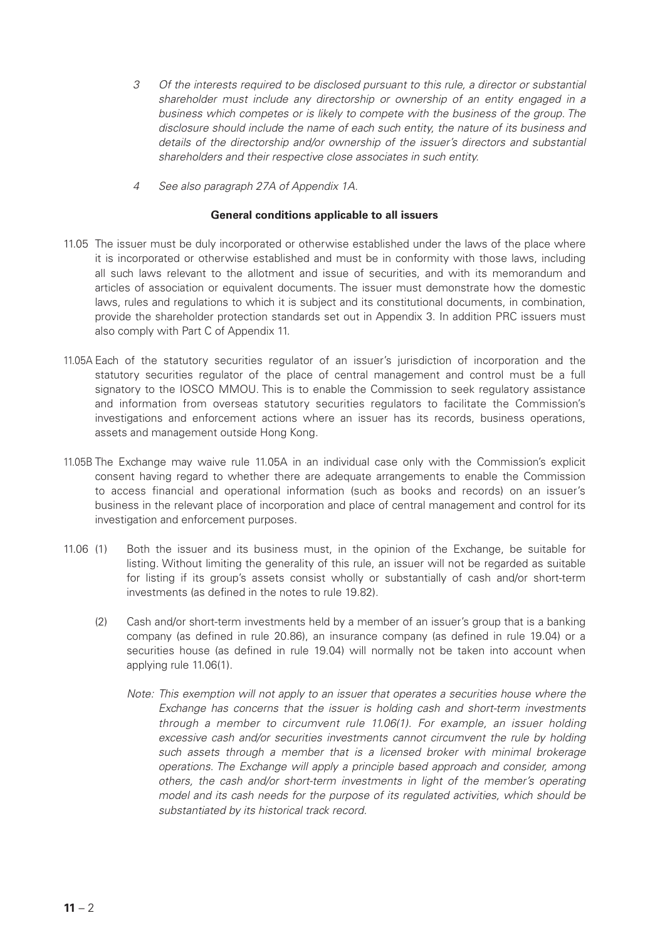- *3 Of the interests required to be disclosed pursuant to this rule, a director or substantial shareholder must include any directorship or ownership of an entity engaged in a business which competes or is likely to compete with the business of the group. The disclosure should include the name of each such entity, the nature of its business and details of the directorship and/or ownership of the issuer's directors and substantial shareholders and their respective close associates in such entity.*
- *4 See also paragraph 27A of Appendix 1A.*

#### **General conditions applicable to all issuers**

- 11.05 The issuer must be duly incorporated or otherwise established under the laws of the place where it is incorporated or otherwise established and must be in conformity with those laws, including all such laws relevant to the allotment and issue of securities, and with its memorandum and articles of association or equivalent documents. The issuer must demonstrate how the domestic laws, rules and regulations to which it is subject and its constitutional documents, in combination, provide the shareholder protection standards set out in Appendix 3. In addition PRC issuers must also comply with Part C of Appendix 11.
- 11.05A Each of the statutory securities regulator of an issuer's jurisdiction of incorporation and the statutory securities regulator of the place of central management and control must be a full signatory to the IOSCO MMOU. This is to enable the Commission to seek regulatory assistance and information from overseas statutory securities regulators to facilitate the Commission's investigations and enforcement actions where an issuer has its records, business operations, assets and management outside Hong Kong.
- 11.05B The Exchange may waive rule 11.05A in an individual case only with the Commission's explicit consent having regard to whether there are adequate arrangements to enable the Commission to access financial and operational information (such as books and records) on an issuer's business in the relevant place of incorporation and place of central management and control for its investigation and enforcement purposes.
- 11.06 (1) Both the issuer and its business must, in the opinion of the Exchange, be suitable for listing. Without limiting the generality of this rule, an issuer will not be regarded as suitable for listing if its group's assets consist wholly or substantially of cash and/or short-term investments (as defined in the notes to rule 19.82).
	- (2) Cash and/or short-term investments held by a member of an issuer's group that is a banking company (as defined in rule 20.86), an insurance company (as defined in rule 19.04) or a securities house (as defined in rule 19.04) will normally not be taken into account when applying rule 11.06(1).
		- *Note: This exemption will not apply to an issuer that operates a securities house where the Exchange has concerns that the issuer is holding cash and short-term investments through a member to circumvent rule 11.06(1). For example, an issuer holding excessive cash and/or securities investments cannot circumvent the rule by holding such assets through a member that is a licensed broker with minimal brokerage operations. The Exchange will apply a principle based approach and consider, among others, the cash and/or short-term investments in light of the member's operating model and its cash needs for the purpose of its regulated activities, which should be substantiated by its historical track record.*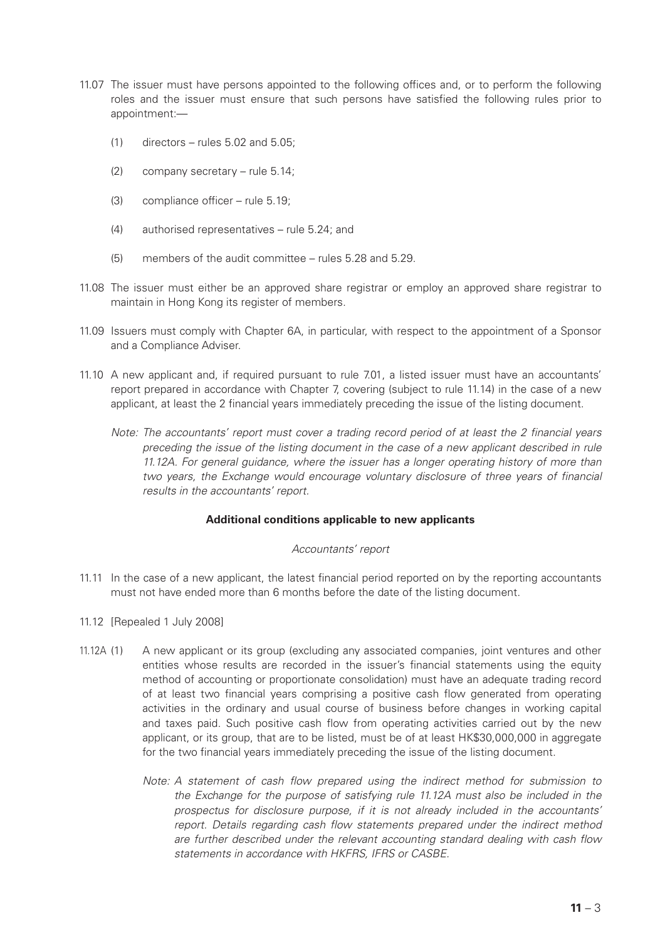- 11.07 The issuer must have persons appointed to the following offices and, or to perform the following roles and the issuer must ensure that such persons have satisfied the following rules prior to appointment:—
	- $(1)$  directors rules 5.02 and 5.05;
	- (2) company secretary rule 5.14;
	- (3) compliance officer rule 5.19;
	- (4) authorised representatives rule 5.24; and
	- (5) members of the audit committee rules 5.28 and 5.29.
- 11.08 The issuer must either be an approved share registrar or employ an approved share registrar to maintain in Hong Kong its register of members.
- 11.09 Issuers must comply with Chapter 6A, in particular, with respect to the appointment of a Sponsor and a Compliance Adviser.
- 11.10 A new applicant and, if required pursuant to rule 7.01, a listed issuer must have an accountants' report prepared in accordance with Chapter 7, covering (subject to rule 11.14) in the case of a new applicant, at least the 2 financial years immediately preceding the issue of the listing document.
	- *Note: The accountants' report must cover a trading record period of at least the 2 financial years preceding the issue of the listing document in the case of a new applicant described in rule 11.12A. For general guidance, where the issuer has a longer operating history of more than two years, the Exchange would encourage voluntary disclosure of three years of financial results in the accountants' report.*

#### **Additional conditions applicable to new applicants**

#### *Accountants' report*

- 11.11 In the case of a new applicant, the latest financial period reported on by the reporting accountants must not have ended more than 6 months before the date of the listing document.
- 11.12 [Repealed 1 July 2008]
- 11.12A (1) A new applicant or its group (excluding any associated companies, joint ventures and other entities whose results are recorded in the issuer's financial statements using the equity method of accounting or proportionate consolidation) must have an adequate trading record of at least two financial years comprising a positive cash flow generated from operating activities in the ordinary and usual course of business before changes in working capital and taxes paid. Such positive cash flow from operating activities carried out by the new applicant, or its group, that are to be listed, must be of at least HK\$30,000,000 in aggregate for the two financial years immediately preceding the issue of the listing document.
	- *Note: A statement of cash flow prepared using the indirect method for submission to the Exchange for the purpose of satisfying rule 11.12A must also be included in the prospectus for disclosure purpose, if it is not already included in the accountants' report. Details regarding cash flow statements prepared under the indirect method are further described under the relevant accounting standard dealing with cash flow statements in accordance with HKFRS, IFRS or CASBE.*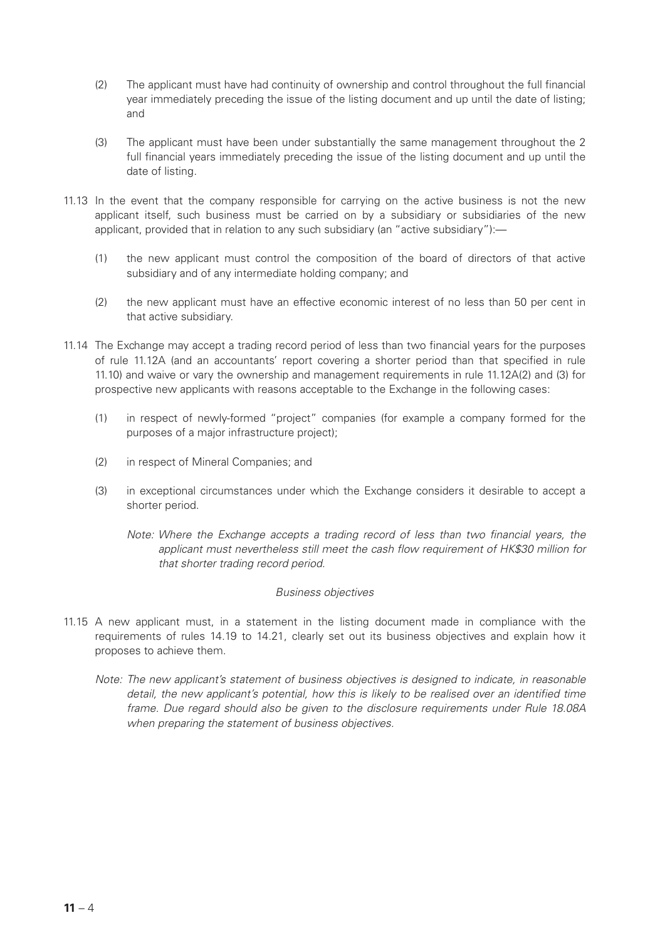- (2) The applicant must have had continuity of ownership and control throughout the full financial year immediately preceding the issue of the listing document and up until the date of listing; and
- (3) The applicant must have been under substantially the same management throughout the 2 full financial years immediately preceding the issue of the listing document and up until the date of listing.
- 11.13 In the event that the company responsible for carrying on the active business is not the new applicant itself, such business must be carried on by a subsidiary or subsidiaries of the new applicant, provided that in relation to any such subsidiary (an "active subsidiary"):—
	- (1) the new applicant must control the composition of the board of directors of that active subsidiary and of any intermediate holding company; and
	- (2) the new applicant must have an effective economic interest of no less than 50 per cent in that active subsidiary.
- 11.14 The Exchange may accept a trading record period of less than two financial years for the purposes of rule 11.12A (and an accountants' report covering a shorter period than that specified in rule 11.10) and waive or vary the ownership and management requirements in rule 11.12A(2) and (3) for prospective new applicants with reasons acceptable to the Exchange in the following cases:
	- (1) in respect of newly-formed "project" companies (for example a company formed for the purposes of a major infrastructure project);
	- (2) in respect of Mineral Companies; and
	- (3) in exceptional circumstances under which the Exchange considers it desirable to accept a shorter period.
		- *Note: Where the Exchange accepts a trading record of less than two financial years, the applicant must nevertheless still meet the cash flow requirement of HK\$30 million for that shorter trading record period.*

#### *Business objectives*

- 11.15 A new applicant must, in a statement in the listing document made in compliance with the requirements of rules 14.19 to 14.21, clearly set out its business objectives and explain how it proposes to achieve them.
	- *Note: The new applicant's statement of business objectives is designed to indicate, in reasonable*  detail, the new applicant's potential, how this is likely to be realised over an identified time *frame. Due regard should also be given to the disclosure requirements under Rule 18.08A when preparing the statement of business objectives.*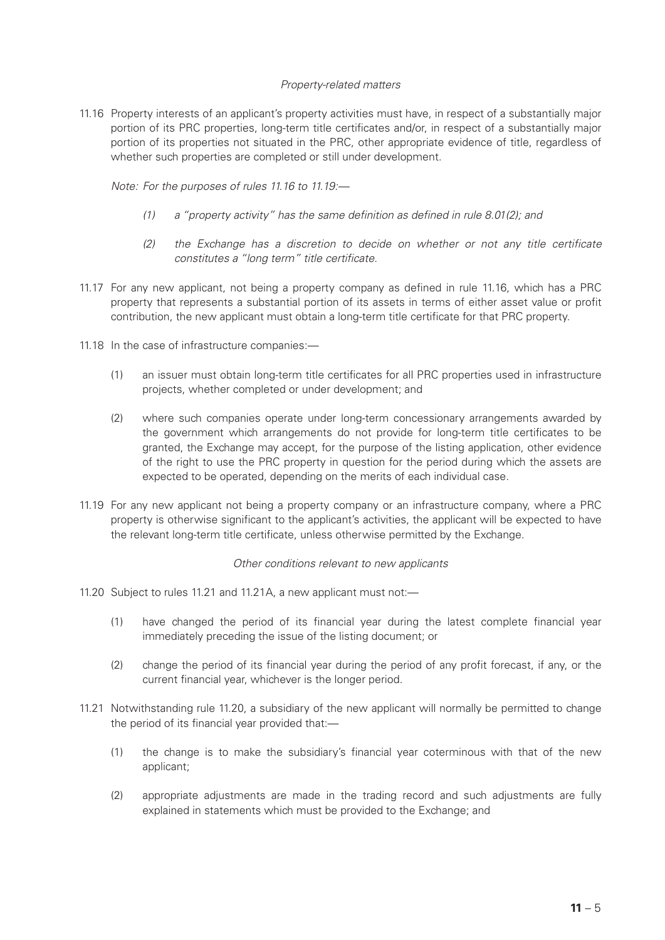#### *Property-related matters*

11.16 Property interests of an applicant's property activities must have, in respect of a substantially major portion of its PRC properties, long-term title certificates and/or, in respect of a substantially major portion of its properties not situated in the PRC, other appropriate evidence of title, regardless of whether such properties are completed or still under development.

*Note: For the purposes of rules 11.16 to 11.19:—*

- *(1) a "property activity" has the same definition as defined in rule 8.01(2); and*
- *(2) the Exchange has a discretion to decide on whether or not any title certificate constitutes a "long term" title certificate.*
- 11.17 For any new applicant, not being a property company as defined in rule 11.16, which has a PRC property that represents a substantial portion of its assets in terms of either asset value or profit contribution, the new applicant must obtain a long-term title certificate for that PRC property.
- 11.18 In the case of infrastructure companies:—
	- (1) an issuer must obtain long-term title certificates for all PRC properties used in infrastructure projects, whether completed or under development; and
	- (2) where such companies operate under long-term concessionary arrangements awarded by the government which arrangements do not provide for long-term title certificates to be granted, the Exchange may accept, for the purpose of the listing application, other evidence of the right to use the PRC property in question for the period during which the assets are expected to be operated, depending on the merits of each individual case.
- 11.19 For any new applicant not being a property company or an infrastructure company, where a PRC property is otherwise significant to the applicant's activities, the applicant will be expected to have the relevant long-term title certificate, unless otherwise permitted by the Exchange.

#### *Other conditions relevant to new applicants*

- 11.20 Subject to rules 11.21 and 11.21A, a new applicant must not:—
	- (1) have changed the period of its financial year during the latest complete financial year immediately preceding the issue of the listing document; or
	- (2) change the period of its financial year during the period of any profit forecast, if any, or the current financial year, whichever is the longer period.
- 11.21 Notwithstanding rule 11.20, a subsidiary of the new applicant will normally be permitted to change the period of its financial year provided that:—
	- (1) the change is to make the subsidiary's financial year coterminous with that of the new applicant;
	- (2) appropriate adjustments are made in the trading record and such adjustments are fully explained in statements which must be provided to the Exchange; and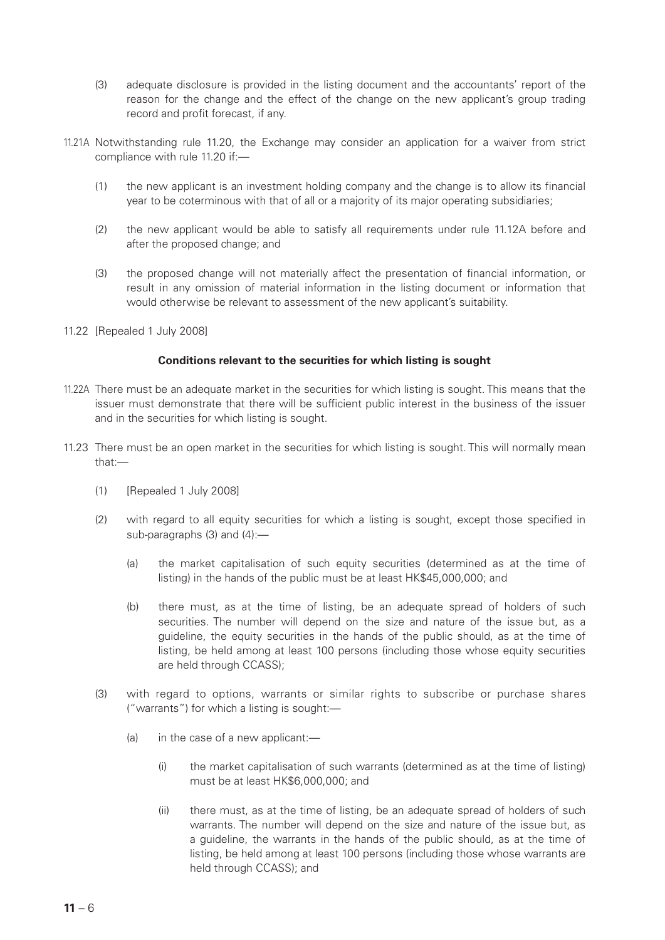- (3) adequate disclosure is provided in the listing document and the accountants' report of the reason for the change and the effect of the change on the new applicant's group trading record and profit forecast, if any.
- 11.21A Notwithstanding rule 11.20, the Exchange may consider an application for a waiver from strict compliance with rule 11.20 if:—
	- (1) the new applicant is an investment holding company and the change is to allow its financial year to be coterminous with that of all or a majority of its major operating subsidiaries;
	- (2) the new applicant would be able to satisfy all requirements under rule 11.12A before and after the proposed change; and
	- (3) the proposed change will not materially affect the presentation of financial information, or result in any omission of material information in the listing document or information that would otherwise be relevant to assessment of the new applicant's suitability.
- 11.22 [Repealed 1 July 2008]

#### **Conditions relevant to the securities for which listing is sought**

- 11.22A There must be an adequate market in the securities for which listing is sought. This means that the issuer must demonstrate that there will be sufficient public interest in the business of the issuer and in the securities for which listing is sought.
- 11.23 There must be an open market in the securities for which listing is sought. This will normally mean that:—
	- (1) [Repealed 1 July 2008]
	- (2) with regard to all equity securities for which a listing is sought, except those specified in sub-paragraphs (3) and (4):—
		- (a) the market capitalisation of such equity securities (determined as at the time of listing) in the hands of the public must be at least HK\$45,000,000; and
		- (b) there must, as at the time of listing, be an adequate spread of holders of such securities. The number will depend on the size and nature of the issue but, as a guideline, the equity securities in the hands of the public should, as at the time of listing, be held among at least 100 persons (including those whose equity securities are held through CCASS);
	- (3) with regard to options, warrants or similar rights to subscribe or purchase shares ("warrants") for which a listing is sought:—
		- (a) in the case of a new applicant:—
			- (i) the market capitalisation of such warrants (determined as at the time of listing) must be at least HK\$6,000,000; and
			- (ii) there must, as at the time of listing, be an adequate spread of holders of such warrants. The number will depend on the size and nature of the issue but, as a guideline, the warrants in the hands of the public should, as at the time of listing, be held among at least 100 persons (including those whose warrants are held through CCASS); and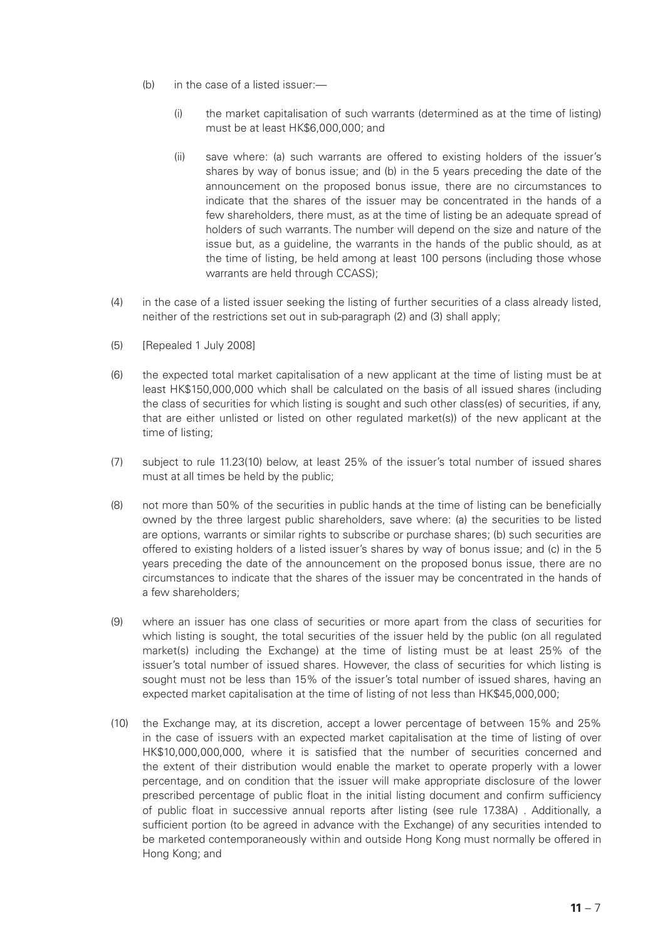- (b) in the case of a listed issuer:—
	- (i) the market capitalisation of such warrants (determined as at the time of listing) must be at least HK\$6,000,000; and
	- (ii) save where: (a) such warrants are offered to existing holders of the issuer's shares by way of bonus issue; and (b) in the 5 years preceding the date of the announcement on the proposed bonus issue, there are no circumstances to indicate that the shares of the issuer may be concentrated in the hands of a few shareholders, there must, as at the time of listing be an adequate spread of holders of such warrants. The number will depend on the size and nature of the issue but, as a guideline, the warrants in the hands of the public should, as at the time of listing, be held among at least 100 persons (including those whose warrants are held through CCASS);
- (4) in the case of a listed issuer seeking the listing of further securities of a class already listed, neither of the restrictions set out in sub-paragraph (2) and (3) shall apply;
- (5) [Repealed 1 July 2008]
- (6) the expected total market capitalisation of a new applicant at the time of listing must be at least HK\$150,000,000 which shall be calculated on the basis of all issued shares (including the class of securities for which listing is sought and such other class(es) of securities, if any, that are either unlisted or listed on other regulated market(s)) of the new applicant at the time of listing;
- (7) subject to rule 11.23(10) below, at least 25% of the issuer's total number of issued shares must at all times be held by the public;
- (8) not more than 50% of the securities in public hands at the time of listing can be beneficially owned by the three largest public shareholders, save where: (a) the securities to be listed are options, warrants or similar rights to subscribe or purchase shares; (b) such securities are offered to existing holders of a listed issuer's shares by way of bonus issue; and (c) in the 5 years preceding the date of the announcement on the proposed bonus issue, there are no circumstances to indicate that the shares of the issuer may be concentrated in the hands of a few shareholders;
- (9) where an issuer has one class of securities or more apart from the class of securities for which listing is sought, the total securities of the issuer held by the public (on all regulated market(s) including the Exchange) at the time of listing must be at least 25% of the issuer's total number of issued shares. However, the class of securities for which listing is sought must not be less than 15% of the issuer's total number of issued shares, having an expected market capitalisation at the time of listing of not less than HK\$45,000,000;
- (10) the Exchange may, at its discretion, accept a lower percentage of between 15% and 25% in the case of issuers with an expected market capitalisation at the time of listing of over HK\$10,000,000,000, where it is satisfied that the number of securities concerned and the extent of their distribution would enable the market to operate properly with a lower percentage, and on condition that the issuer will make appropriate disclosure of the lower prescribed percentage of public float in the initial listing document and confirm sufficiency of public float in successive annual reports after listing (see rule 17.38A) . Additionally, a sufficient portion (to be agreed in advance with the Exchange) of any securities intended to be marketed contemporaneously within and outside Hong Kong must normally be offered in Hong Kong; and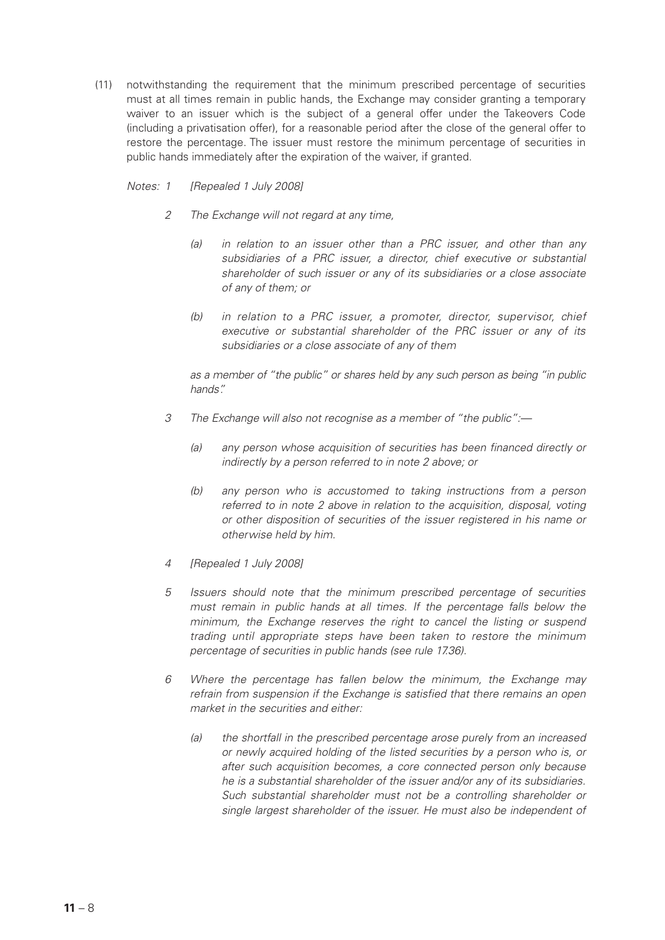(11) notwithstanding the requirement that the minimum prescribed percentage of securities must at all times remain in public hands, the Exchange may consider granting a temporary waiver to an issuer which is the subject of a general offer under the Takeovers Code (including a privatisation offer), for a reasonable period after the close of the general offer to restore the percentage. The issuer must restore the minimum percentage of securities in public hands immediately after the expiration of the waiver, if granted.

### *Notes: 1 [Repealed 1 July 2008]*

- *2 The Exchange will not regard at any time,*
	- *(a) in relation to an issuer other than a PRC issuer, and other than any subsidiaries of a PRC issuer, a director, chief executive or substantial shareholder of such issuer or any of its subsidiaries or a close associate of any of them; or*
	- *(b) in relation to a PRC issuer, a promoter, director, supervisor, chief executive or substantial shareholder of the PRC issuer or any of its subsidiaries or a close associate of any of them*

*as a member of "the public" or shares held by any such person as being "in public hands".*

- *3 The Exchange will also not recognise as a member of "the public":—*
	- *(a) any person whose acquisition of securities has been financed directly or indirectly by a person referred to in note 2 above; or*
	- *(b) any person who is accustomed to taking instructions from a person referred to in note 2 above in relation to the acquisition, disposal, voting or other disposition of securities of the issuer registered in his name or otherwise held by him.*
- *4 [Repealed 1 July 2008]*
- *5 Issuers should note that the minimum prescribed percentage of securities must remain in public hands at all times. If the percentage falls below the minimum, the Exchange reserves the right to cancel the listing or suspend trading until appropriate steps have been taken to restore the minimum percentage of securities in public hands (see rule 17.36).*
- *6 Where the percentage has fallen below the minimum, the Exchange may refrain from suspension if the Exchange is satisfied that there remains an open market in the securities and either:*
	- *(a) the shortfall in the prescribed percentage arose purely from an increased or newly acquired holding of the listed securities by a person who is, or after such acquisition becomes, a core connected person only because he is a substantial shareholder of the issuer and/or any of its subsidiaries. Such substantial shareholder must not be a controlling shareholder or single largest shareholder of the issuer. He must also be independent of*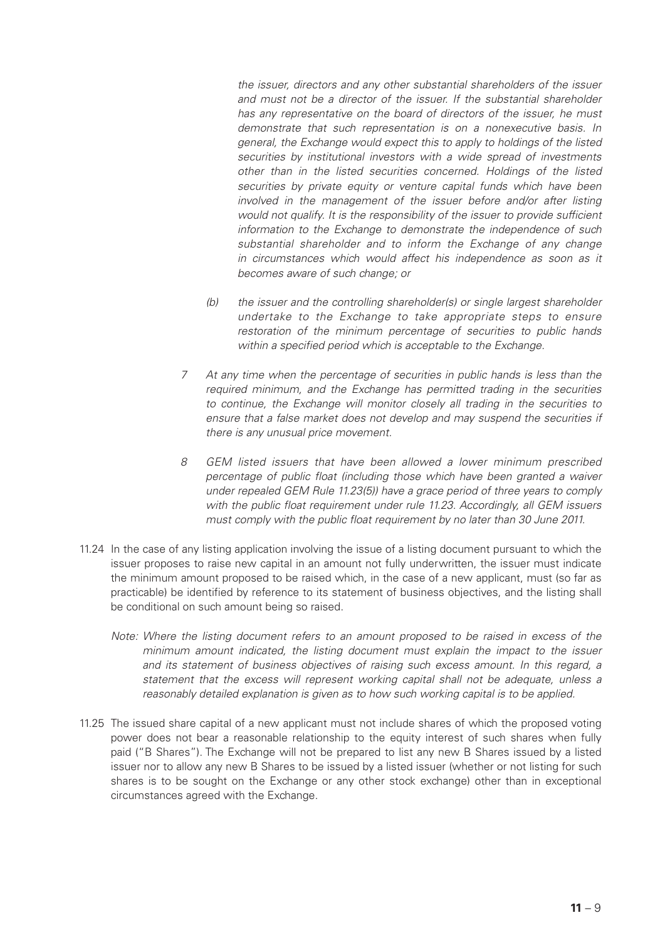*the issuer, directors and any other substantial shareholders of the issuer and must not be a director of the issuer. If the substantial shareholder has any representative on the board of directors of the issuer, he must demonstrate that such representation is on a nonexecutive basis. In general, the Exchange would expect this to apply to holdings of the listed securities by institutional investors with a wide spread of investments other than in the listed securities concerned. Holdings of the listed securities by private equity or venture capital funds which have been involved in the management of the issuer before and/or after listing would not qualify. It is the responsibility of the issuer to provide sufficient information to the Exchange to demonstrate the independence of such substantial shareholder and to inform the Exchange of any change in circumstances which would affect his independence as soon as it becomes aware of such change; or*

- *(b) the issuer and the controlling shareholder(s) or single largest shareholder undertake to the Exchange to take appropriate steps to ensure restoration of the minimum percentage of securities to public hands within a specified period which is acceptable to the Exchange.*
- *7 At any time when the percentage of securities in public hands is less than the required minimum, and the Exchange has permitted trading in the securities to continue, the Exchange will monitor closely all trading in the securities to ensure that a false market does not develop and may suspend the securities if there is any unusual price movement.*
- *8 GEM listed issuers that have been allowed a lower minimum prescribed percentage of public float (including those which have been granted a waiver under repealed GEM Rule 11.23(5)) have a grace period of three years to comply with the public float requirement under rule 11.23. Accordingly, all GEM issuers must comply with the public float requirement by no later than 30 June 2011.*
- 11.24 In the case of any listing application involving the issue of a listing document pursuant to which the issuer proposes to raise new capital in an amount not fully underwritten, the issuer must indicate the minimum amount proposed to be raised which, in the case of a new applicant, must (so far as practicable) be identified by reference to its statement of business objectives, and the listing shall be conditional on such amount being so raised.
	- *Note: Where the listing document refers to an amount proposed to be raised in excess of the minimum amount indicated, the listing document must explain the impact to the issuer and its statement of business objectives of raising such excess amount. In this regard, a statement that the excess will represent working capital shall not be adequate, unless a reasonably detailed explanation is given as to how such working capital is to be applied.*
- 11.25 The issued share capital of a new applicant must not include shares of which the proposed voting power does not bear a reasonable relationship to the equity interest of such shares when fully paid ("B Shares"). The Exchange will not be prepared to list any new B Shares issued by a listed issuer nor to allow any new B Shares to be issued by a listed issuer (whether or not listing for such shares is to be sought on the Exchange or any other stock exchange) other than in exceptional circumstances agreed with the Exchange.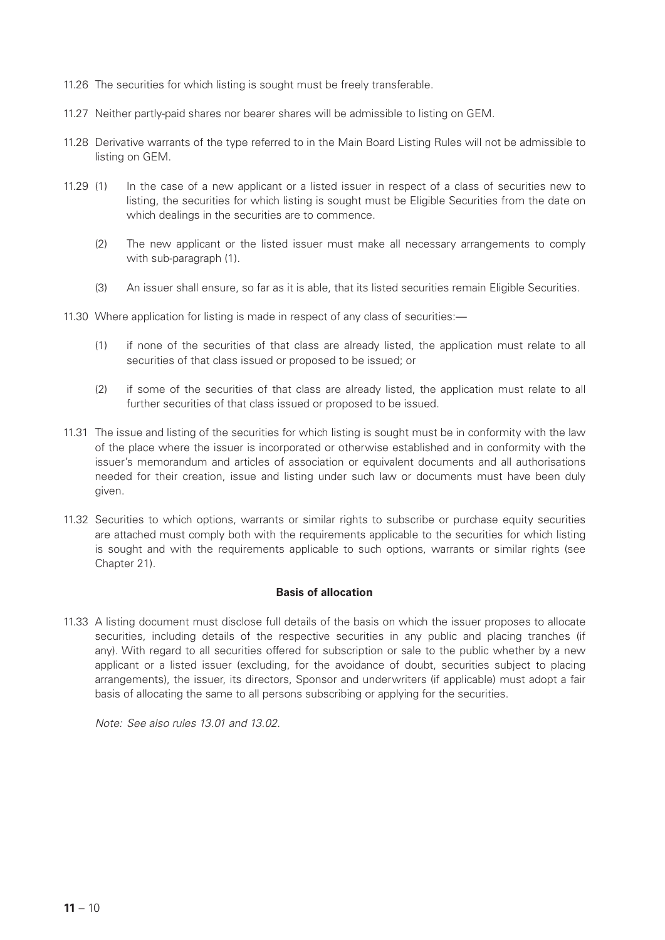- 11.26 The securities for which listing is sought must be freely transferable.
- 11.27 Neither partly-paid shares nor bearer shares will be admissible to listing on GEM.
- 11.28 Derivative warrants of the type referred to in the Main Board Listing Rules will not be admissible to listing on GEM.
- 11.29 (1) In the case of a new applicant or a listed issuer in respect of a class of securities new to listing, the securities for which listing is sought must be Eligible Securities from the date on which dealings in the securities are to commence.
	- (2) The new applicant or the listed issuer must make all necessary arrangements to comply with sub-paragraph (1).
	- (3) An issuer shall ensure, so far as it is able, that its listed securities remain Eligible Securities.
- 11.30 Where application for listing is made in respect of any class of securities:—
	- (1) if none of the securities of that class are already listed, the application must relate to all securities of that class issued or proposed to be issued; or
	- (2) if some of the securities of that class are already listed, the application must relate to all further securities of that class issued or proposed to be issued.
- 11.31 The issue and listing of the securities for which listing is sought must be in conformity with the law of the place where the issuer is incorporated or otherwise established and in conformity with the issuer's memorandum and articles of association or equivalent documents and all authorisations needed for their creation, issue and listing under such law or documents must have been duly given.
- 11.32 Securities to which options, warrants or similar rights to subscribe or purchase equity securities are attached must comply both with the requirements applicable to the securities for which listing is sought and with the requirements applicable to such options, warrants or similar rights (see Chapter 21).

#### **Basis of allocation**

11.33 A listing document must disclose full details of the basis on which the issuer proposes to allocate securities, including details of the respective securities in any public and placing tranches (if any). With regard to all securities offered for subscription or sale to the public whether by a new applicant or a listed issuer (excluding, for the avoidance of doubt, securities subject to placing arrangements), the issuer, its directors, Sponsor and underwriters (if applicable) must adopt a fair basis of allocating the same to all persons subscribing or applying for the securities.

*Note: See also rules 13.01 and 13.02.*